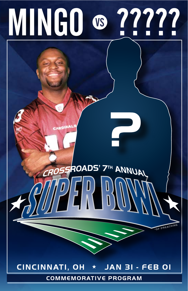# **MINGO ® 22222**

## CINCINNATI, OH \* JAN 3I - FEB OI

ROADS' 7TH ANNUAL

OF PREACHING

**COMMEMORATIVE PROGRAM**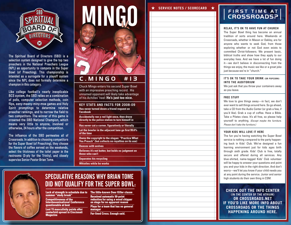

The Spiritual Board of Directors (SBD) is a selection system designed to give the top two preachers in the National Preachers League (NPL) an opportunity to compete in the Super Bowl (of Preaching). This championship is intended as a surrogate for a playoff system since the NPL does not formally determine a champion in this category.

Like college football's nearly inexplicable **BCS** system, the SBD relies on a combination of polls, computer selection methods, coin flips, eeny-meeny-miny-moe games and Holy Spirit promptings to determine relative preacher rankings, and to narrow the field to two competitors. The winner of this game is crowned the SBD National Champion, which means very little to anyone, involved or otherwise, 24 hours after the competition.

The influence of the SBD permeates all of **Crossroads. In addition to choosing competitors** for the Super Bowl (of Preaching), they choose the flavors of coffee served on the weekends, select the thickness of the toilet paper in the restrooms (3-ply for the Trinity), and closely supervise Senior Pastor Brian Tome.



**Chuck Mingo enters his second Super Bowl** with an impressive preaching record. His unnamed opponent will likely take advantage of his Achilles' heel: He's just too nice.

**KEY STATS AND FACTS FOR 2008-09** Has never turned down a friend request on **Facebook** 

Accidentally ran a red light once, then drove<br>directly to the police station to turn himself in

Has never cut a corner, figuratively or literally

Let the bowler in the adjacent lane go first 99.6% of the time

Owns the copyright to the slogan: "Practice What<br>You Preach" (but collects no royalties on its use)

**Dances with wolves** 

Believes it's not butter, but holds no judgment on those who can't

**Separates his recycling Whistles while he works** 



## **SPECULATIVE REASONS WHY BRIAN TOME** DID NOT QUALIFY FOR THE SUPER BOWL:

Lack of strength in schedule due to The little-known Deer Killer clause summer "study break"

Competitiveness of the<br>Interdenominational Conference<br>questionable at best

Lost 15 masculinity points after<br>centerfold spread in Cincinnati<br>Magazine

Received automatic 50-point<br>reduction for using a wood chipper<br>on stage for no apparent reason Plays for a team that has no general

**Fur-lined Crocs. Enough said.** 

#### **SERVICE NOTES / SCORECARD**

# FIRST TIME AT

#### **RELAX. IT'S OK TO HAVE FUN AT CHURCH**

The Super Bowl thing has become an annual tradition of sorts around here. Weekends at Crossroads, whether in Mason or Oakley, are for anyone who wants to seek God, from those exploring whether or not God even exists to committed Christ-followers. We present basic. biblical truths and show how they apply to our everyday lives. And we have a lot of fun doing it-we don't believe in disconnecting from the things we enjoy, the music we like or a great joke just because we're in "church."

#### IT'S OK TO TAKE YOUR DRINK (OR POPCORN) **INTO THE AUDITORIUM**

We just ask that you throw your containers away as vou leave.

#### **FREE STUFF**

We love to give things away-in fact, we don't ever want to sell things around here. So go ahead, take a CD from the Audio Center (or grab a few. if you'd like). Grab a cup of coffee. Have a Bible. Take a Pilates class. It's all free, so please help yourself to anything. (Except maybe the furniture. Please don't take the furniture.)

#### YOUR KIDS WILL LOVE IT HERE

The fun you're having watching the Super Bowl service is nothing compared to the party happening back in Kids' Club. We've designed a fun learning environment just for kids ages birth through sixth grade. Kids' Club is free, totally secure and offered during all services. Any blue-shirted, name-tagged Kids' Club volunteer will be happy to answer your questions and point vou and your kids in the right direction. And don't worry-we'll let you know if your child needs you at any point during the service. Junior and senior high students do their own thing in CSM.

#### **CHECK OUT THE INFO CENTER** (IN THE CENTER OF THE ATRIUM) OR CROSSROADS.NET IF YOU'D LIKE MORE INFO ABOUT **CROSSROADS OR THE THINGS HAPPENING AROUND HERE.**